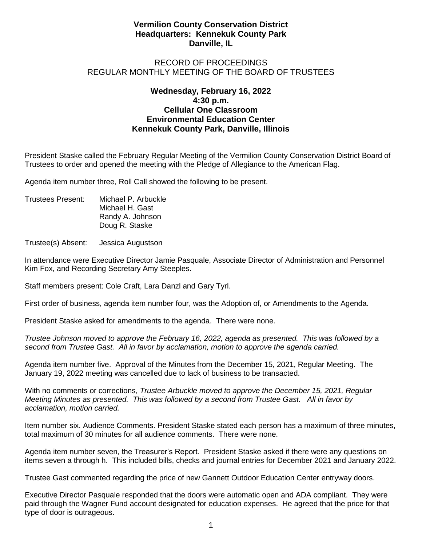## **Vermilion County Conservation District Headquarters: Kennekuk County Park Danville, IL**

## RECORD OF PROCEEDINGS REGULAR MONTHLY MEETING OF THE BOARD OF TRUSTEES

## **Wednesday, February 16, 2022 4:30 p.m. Cellular One Classroom Environmental Education Center Kennekuk County Park, Danville, Illinois**

President Staske called the February Regular Meeting of the Vermilion County Conservation District Board of Trustees to order and opened the meeting with the Pledge of Allegiance to the American Flag.

Agenda item number three, Roll Call showed the following to be present.

Trustees Present: Michael P. Arbuckle Michael H. Gast Randy A. Johnson Doug R. Staske

Trustee(s) Absent: Jessica Augustson

In attendance were Executive Director Jamie Pasquale, Associate Director of Administration and Personnel Kim Fox, and Recording Secretary Amy Steeples.

Staff members present: Cole Craft, Lara Danzl and Gary Tyrl.

First order of business, agenda item number four, was the Adoption of, or Amendments to the Agenda.

President Staske asked for amendments to the agenda. There were none.

*Trustee Johnson moved to approve the February 16, 2022, agenda as presented. This was followed by a second from Trustee Gast. All in favor by acclamation, motion to approve the agenda carried.*

Agenda item number five. Approval of the Minutes from the December 15, 2021, Regular Meeting. The January 19, 2022 meeting was cancelled due to lack of business to be transacted.

With no comments or corrections, *Trustee Arbuckle moved to approve the December 15, 2021, Regular Meeting Minutes as presented. This was followed by a second from Trustee Gast. All in favor by acclamation, motion carried.*

Item number six. Audience Comments. President Staske stated each person has a maximum of three minutes, total maximum of 30 minutes for all audience comments. There were none.

Agenda item number seven, the Treasurer's Report. President Staske asked if there were any questions on items seven a through h. This included bills, checks and journal entries for December 2021 and January 2022.

Trustee Gast commented regarding the price of new Gannett Outdoor Education Center entryway doors.

Executive Director Pasquale responded that the doors were automatic open and ADA compliant. They were paid through the Wagner Fund account designated for education expenses. He agreed that the price for that type of door is outrageous.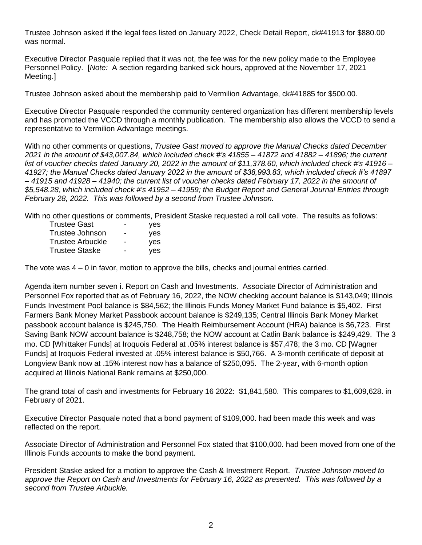Trustee Johnson asked if the legal fees listed on January 2022, Check Detail Report, ck#41913 for \$880.00 was normal.

Executive Director Pasquale replied that it was not, the fee was for the new policy made to the Employee Personnel Policy. [*Note:* A section regarding banked sick hours, approved at the November 17, 2021 Meeting.]

Trustee Johnson asked about the membership paid to Vermilion Advantage, ck#41885 for \$500.00.

Executive Director Pasquale responded the community centered organization has different membership levels and has promoted the VCCD through a monthly publication. The membership also allows the VCCD to send a representative to Vermilion Advantage meetings.

With no other comments or questions, *Trustee Gast moved to approve the Manual Checks dated December 2021 in the amount of \$43,007.84, which included check #'s 41855 – 41872 and 41882 – 41896; the current list of voucher checks dated January 20, 2022 in the amount of \$11,378.60, which included check #'s 41916 – 41927; the Manual Checks dated January 2022 in the amount of \$38,993.83, which included check #'s 41897 – 41915 and 41928 – 41940; the current list of voucher checks dated February 17, 2022 in the amount of \$5,548.28, which included check #'s 41952 – 41959; the Budget Report and General Journal Entries through February 28, 2022. This was followed by a second from Trustee Johnson.* 

With no other questions or comments, President Staske requested a roll call vote. The results as follows:

| Trustee Gast     | - | ves |
|------------------|---|-----|
| Trustee Johnson  | - | ves |
| Trustee Arbuckle | - | ves |
| Trustee Staske   | - | yes |

The vote was 4 – 0 in favor, motion to approve the bills, checks and journal entries carried.

Agenda item number seven i. Report on Cash and Investments. Associate Director of Administration and Personnel Fox reported that as of February 16, 2022, the NOW checking account balance is \$143,049; Illinois Funds Investment Pool balance is \$84,562; the Illinois Funds Money Market Fund balance is \$5,402. First Farmers Bank Money Market Passbook account balance is \$249,135; Central Illinois Bank Money Market passbook account balance is \$245,750. The Health Reimbursement Account (HRA) balance is \$6,723. First Saving Bank NOW account balance is \$248,758; the NOW account at Catlin Bank balance is \$249,429. The 3 mo. CD [Whittaker Funds] at Iroquois Federal at .05% interest balance is \$57,478; the 3 mo. CD [Wagner Funds] at Iroquois Federal invested at .05% interest balance is \$50,766. A 3-month certificate of deposit at Longview Bank now at .15% interest now has a balance of \$250,095. The 2-year, with 6-month option acquired at Illinois National Bank remains at \$250,000.

The grand total of cash and investments for February 16 2022: \$1,841,580. This compares to \$1,609,628. in February of 2021.

Executive Director Pasquale noted that a bond payment of \$109,000. had been made this week and was reflected on the report.

Associate Director of Administration and Personnel Fox stated that \$100,000. had been moved from one of the Illinois Funds accounts to make the bond payment.

President Staske asked for a motion to approve the Cash & Investment Report. *Trustee Johnson moved to approve the Report on Cash and Investments for February 16, 2022 as presented. This was followed by a second from Trustee Arbuckle.*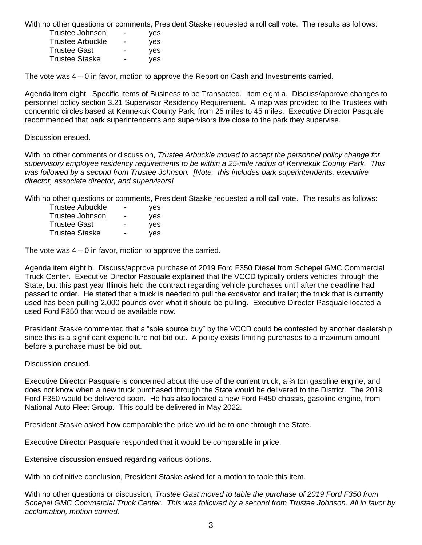With no other questions or comments, President Staske requested a roll call vote. The results as follows:

| Trustee Johnson         | - | yes |
|-------------------------|---|-----|
| <b>Trustee Arbuckle</b> | - | ves |
| <b>Trustee Gast</b>     | - | yes |
| <b>Trustee Staske</b>   |   | yes |

The vote was 4 – 0 in favor, motion to approve the Report on Cash and Investments carried.

Agenda item eight. Specific Items of Business to be Transacted. Item eight a. Discuss/approve changes to personnel policy section 3.21 Supervisor Residency Requirement. A map was provided to the Trustees with concentric circles based at Kennekuk County Park; from 25 miles to 45 miles. Executive Director Pasquale recommended that park superintendents and supervisors live close to the park they supervise.

## Discussion ensued.

With no other comments or discussion, *Trustee Arbuckle moved to accept the personnel policy change for supervisory employee residency requirements to be within a 25-mile radius of Kennekuk County Park. This was followed by a second from Trustee Johnson. [Note: this includes park superintendents, executive director, associate director, and supervisors]*

With no other questions or comments, President Staske requested a roll call vote. The results as follows:

| <b>Trustee Arbuckle</b> | - | yes |
|-------------------------|---|-----|
| Trustee Johnson         | - | yes |
| <b>Trustee Gast</b>     | - | yes |
| <b>Trustee Staske</b>   | - | yes |

The vote was 4 – 0 in favor, motion to approve the carried.

Agenda item eight b. Discuss/approve purchase of 2019 Ford F350 Diesel from Schepel GMC Commercial Truck Center. Executive Director Pasquale explained that the VCCD typically orders vehicles through the State, but this past year Illinois held the contract regarding vehicle purchases until after the deadline had passed to order. He stated that a truck is needed to pull the excavator and trailer; the truck that is currently used has been pulling 2,000 pounds over what it should be pulling. Executive Director Pasquale located a used Ford F350 that would be available now.

President Staske commented that a "sole source buy" by the VCCD could be contested by another dealership since this is a significant expenditure not bid out. A policy exists limiting purchases to a maximum amount before a purchase must be bid out.

Discussion ensued.

Executive Director Pasquale is concerned about the use of the current truck, a ¾ ton gasoline engine, and does not know when a new truck purchased through the State would be delivered to the District. The 2019 Ford F350 would be delivered soon. He has also located a new Ford F450 chassis, gasoline engine, from National Auto Fleet Group. This could be delivered in May 2022.

President Staske asked how comparable the price would be to one through the State.

Executive Director Pasquale responded that it would be comparable in price.

Extensive discussion ensued regarding various options.

With no definitive conclusion, President Staske asked for a motion to table this item.

With no other questions or discussion, *Trustee Gast moved to table the purchase of 2019 Ford F350 from Schepel GMC Commercial Truck Center. This was followed by a second from Trustee Johnson. All in favor by acclamation, motion carried.*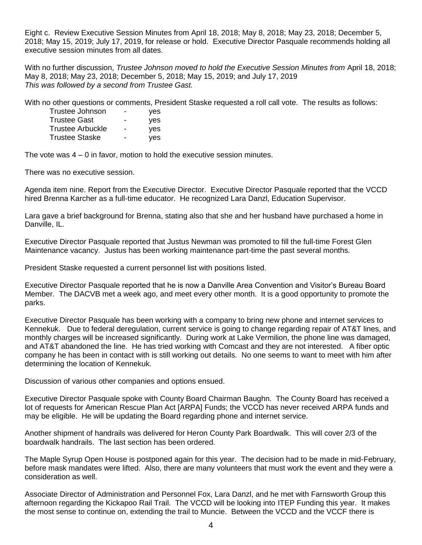Eight c. Review Executive Session Minutes from April 18, 2018; May 8, 2018; May 23, 2018; December 5, 2018; May 15, 2019; July 17, 2019, for release or hold. Executive Director Pasquale recommends holding all executive session minutes from all dates.

With no further discussion, *Trustee Johnson moved to hold the Executive Session Minutes from* April 18, 2018; May 8, 2018; May 23, 2018; December 5, 2018; May 15, 2019; and July 17, 2019 *This was followed by a second from Trustee Gast.*

With no other questions or comments, President Staske requested a roll call vote. The results as follows:

| Trustee Johnson         | - | yes |
|-------------------------|---|-----|
| <b>Trustee Gast</b>     | - | yes |
| <b>Trustee Arbuckle</b> | - | ves |
| Trustee Staske          | - | yes |

The vote was 4 – 0 in favor, motion to hold the executive session minutes.

There was no executive session.

Agenda item nine. Report from the Executive Director. Executive Director Pasquale reported that the VCCD hired Brenna Karcher as a full-time educator. He recognized Lara Danzl, Education Supervisor.

Lara gave a brief background for Brenna, stating also that she and her husband have purchased a home in Danville, IL.

Executive Director Pasquale reported that Justus Newman was promoted to fill the full-time Forest Glen Maintenance vacancy. Justus has been working maintenance part-time the past several months.

President Staske requested a current personnel list with positions listed.

Executive Director Pasquale reported that he is now a Danville Area Convention and Visitor's Bureau Board Member. The DACVB met a week ago, and meet every other month. It is a good opportunity to promote the parks.

Executive Director Pasquale has been working with a company to bring new phone and internet services to Kennekuk. Due to federal deregulation, current service is going to change regarding repair of AT&T lines, and monthly charges will be increased significantly. During work at Lake Vermilion, the phone line was damaged, and AT&T abandoned the line. He has tried working with Comcast and they are not interested. A fiber optic company he has been in contact with is still working out details. No one seems to want to meet with him after determining the location of Kennekuk.

Discussion of various other companies and options ensued.

Executive Director Pasquale spoke with County Board Chairman Baughn. The County Board has received a lot of requests for American Rescue Plan Act [ARPA] Funds; the VCCD has never received ARPA funds and may be eligible. He will be updating the Board regarding phone and internet service.

Another shipment of handrails was delivered for Heron County Park Boardwalk. This will cover 2/3 of the boardwalk handrails. The last section has been ordered.

The Maple Syrup Open House is postponed again for this year. The decision had to be made in mid-February, before mask mandates were lifted. Also, there are many volunteers that must work the event and they were a consideration as well.

Associate Director of Administration and Personnel Fox, Lara Danzl, and he met with Farnsworth Group this afternoon regarding the Kickapoo Rail Trail. The VCCD will be looking into ITEP Funding this year. It makes the most sense to continue on, extending the trail to Muncie. Between the VCCD and the VCCF there is